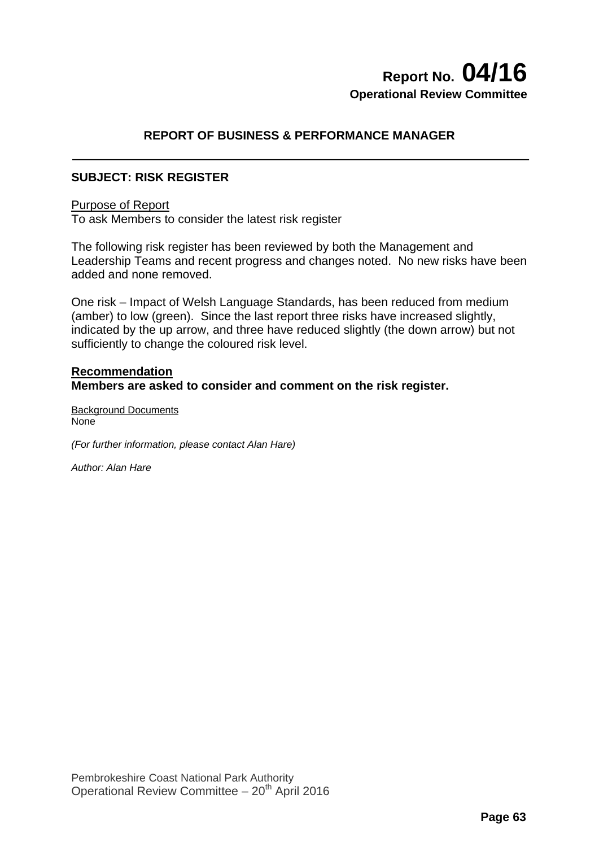# **Report No. 04/16 Operational Review Committee**

# **REPORT OF BUSINESS & PERFORMANCE MANAGER**

## **SUBJECT: RISK REGISTER**

#### Purpose of Report

To ask Members to consider the latest risk register

The following risk register has been reviewed by both the Management and Leadership Teams and recent progress and changes noted. No new risks have been added and none removed.

One risk – Impact of Welsh Language Standards, has been reduced from medium (amber) to low (green). Since the last report three risks have increased slightly, indicated by the up arrow, and three have reduced slightly (the down arrow) but not sufficiently to change the coloured risk level.

### **Recommendation Members are asked to consider and comment on the risk register.**

Background Documents None

*(For further information, please contact Alan Hare)* 

*Author: Alan Hare*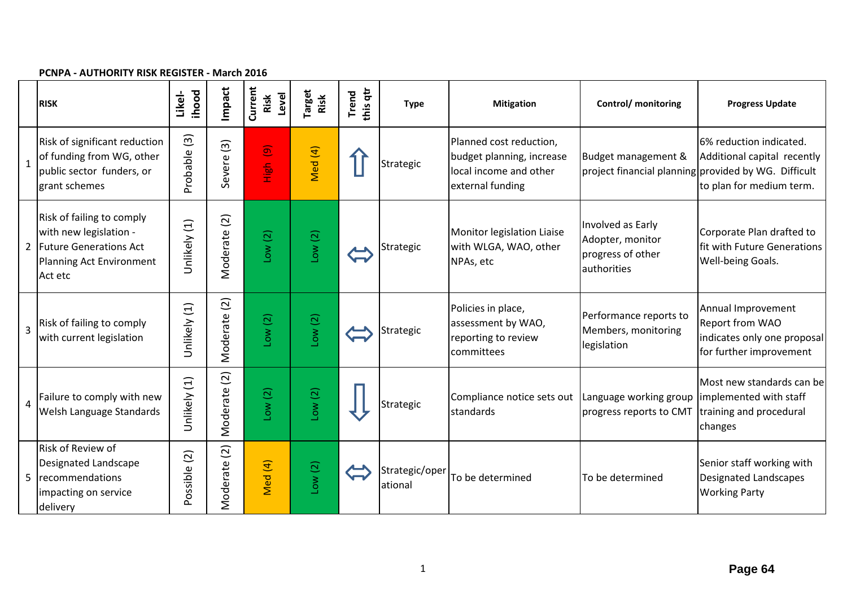#### **PCNPA ‐ AUTHORITY RISK REGISTER ‐ March 2016**

|                | <b>RISK</b>                                                                                                            | ihood<br>Likel-         | Impact                     | Current<br>Level<br>Risk           | Target<br>Risk | this qtr<br>Trend | <b>Type</b>               | <b>Mitigation</b>                                                                                  | Control/ monitoring                                                       | <b>Progress Update</b>                                                                                                                     |
|----------------|------------------------------------------------------------------------------------------------------------------------|-------------------------|----------------------------|------------------------------------|----------------|-------------------|---------------------------|----------------------------------------------------------------------------------------------------|---------------------------------------------------------------------------|--------------------------------------------------------------------------------------------------------------------------------------------|
| $\mathbf{1}$   | Risk of significant reduction<br>of funding from WG, other<br>public sector funders, or<br>grant schemes               | $\boxed{3}$<br>Probable | $\boxed{3}$<br>evere<br>Ū  | $\widehat{\mathbf{e}}$<br>ien<br>E | Med (4)        |                   | Strategic                 | Planned cost reduction,<br>budget planning, increase<br>local income and other<br>external funding | Budget management &                                                       | 6% reduction indicated.<br>Additional capital recently<br>project financial planning provided by WG. Difficult<br>to plan for medium term. |
|                | Risk of failing to comply<br>with new legislation -<br>2 Future Generations Act<br>Planning Act Environment<br>Act etc | Unlikely (1)            | $\overline{c}$<br>Moderate | Low(2)                             | Low(2)         |                   | Strategic                 | Monitor legislation Liaise<br>with WLGA, WAO, other<br>NPAs, etc                                   | Involved as Early<br>Adopter, monitor<br>progress of other<br>authorities | Corporate Plan drafted to<br>fit with Future Generations<br>Well-being Goals.                                                              |
| $\overline{3}$ | Risk of failing to comply<br>with current legislation                                                                  | Unlikely (1)            | Moderate (2)               | $\overline{c}$<br>ΜOΓ              | Low(2)         |                   | Strategic                 | Policies in place,<br>assessment by WAO,<br>reporting to review<br>committees                      | Performance reports to<br>Members, monitoring<br>legislation              | Annual Improvement<br>Report from WAO<br>indicates only one proposal<br>for further improvement                                            |
| $\overline{4}$ | Failure to comply with new<br>Welsh Language Standards                                                                 | Unlikely (1)            | (2)<br>Moderate            | Low(2)                             | Low(2)         |                   | Strategic                 | Compliance notice sets out Language working group limplemented with staff<br>standards             | progress reports to CMT                                                   | Most new standards can be<br>training and procedural<br>changes                                                                            |
| 5              | <b>Risk of Review of</b><br>Designated Landscape<br>recommendations<br>impacting on service<br>delivery                | Possible (2)            | Moderate (2)               | Med (4)                            | Low(2)         |                   | Strategic/oper<br>ational | To be determined                                                                                   | To be determined                                                          | Senior staff working with<br><b>Designated Landscapes</b><br><b>Working Party</b>                                                          |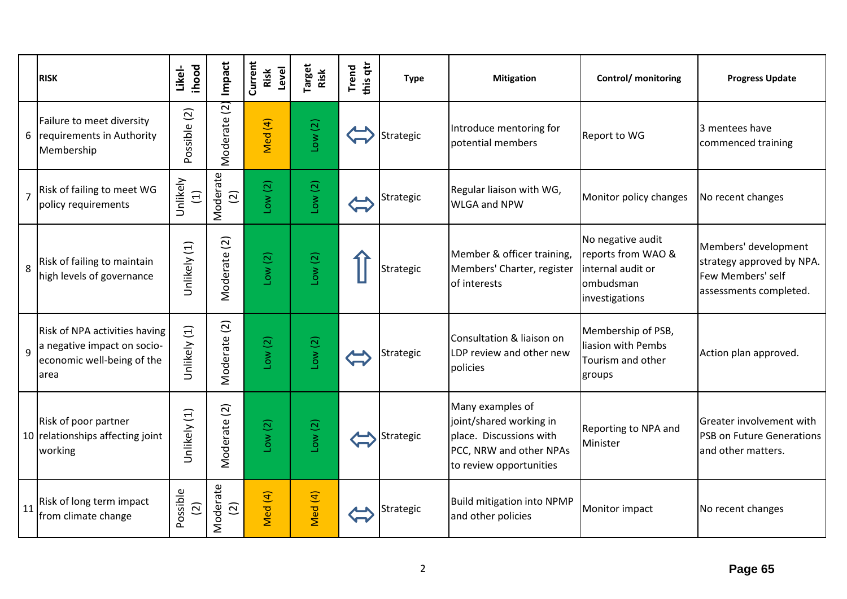|                | <b>RISK</b>                                                                                        | <b>ihood</b><br>Likel-     | Impact                      | Current<br>Level<br>Risk | Target<br>Risk | this qtr<br>Trend | <b>Type</b> | <b>Mitigation</b>                                                                                                            | <b>Control/</b> monitoring                                                                  | <b>Progress Update</b>                                                                           |
|----------------|----------------------------------------------------------------------------------------------------|----------------------------|-----------------------------|--------------------------|----------------|-------------------|-------------|------------------------------------------------------------------------------------------------------------------------------|---------------------------------------------------------------------------------------------|--------------------------------------------------------------------------------------------------|
|                | Failure to meet diversity<br>6 requirements in Authority<br>Membership                             | Possible (2)               | $\overline{c}$<br>Moderate  | $\overline{4}$<br>Med    | Low(2)         |                   | Strategic   | Introduce mentoring for<br>potential members                                                                                 | <b>Report to WG</b>                                                                         | 3 mentees have<br>commenced training                                                             |
| $\overline{7}$ | Risk of failing to meet WG<br>policy requirements                                                  | Unlikely<br>$\Xi$          | Moderate<br>$\boxed{2}$     | Low(2)                   | Low(2)         |                   | Strategic   | Regular liaison with WG,<br><b>WLGA and NPW</b>                                                                              | Monitor policy changes                                                                      | No recent changes                                                                                |
| 8              | Risk of failing to maintain<br>high levels of governance                                           | Unlikely (1)               | $\overline{c}$<br>Moderate  | Low(2)                   | Low(2)         |                   | Strategic   | Member & officer training,<br>Members' Charter, register<br>of interests                                                     | No negative audit<br>reports from WAO &<br>internal audit or<br>ombudsman<br>investigations | Members' development<br>strategy approved by NPA.<br>Few Members' self<br>assessments completed. |
| $\mathbf{q}$   | Risk of NPA activities having<br>a negative impact on socio-<br>economic well-being of the<br>area | Unlikely (1)               | Moderate (2)                | Low(2)                   | Low(2)         |                   | Strategic   | Consultation & liaison on<br>LDP review and other new<br>policies                                                            | Membership of PSB,<br>liasion with Pembs<br>Tourism and other<br>groups                     | Action plan approved.                                                                            |
|                | Risk of poor partner<br>10 relationships affecting joint<br>working                                | Unlikely (1)               | $\widetilde{c}$<br>Moderate | Low(2)                   | Low(2)         |                   | Strategic   | Many examples of<br>joint/shared working in<br>place. Discussions with<br>PCC, NRW and other NPAs<br>to review opportunities | Reporting to NPA and<br>Minister                                                            | Greater involvement with<br><b>PSB on Future Generations</b><br>and other matters.               |
| 11             | Risk of long term impact<br>from climate change                                                    | Possible<br>$\overline{2}$ | Moderate<br>$\overline{2}$  | Med (4)                  | Med (4)        |                   | Strategic   | <b>Build mitigation into NPMP</b><br>and other policies                                                                      | Monitor impact                                                                              | No recent changes                                                                                |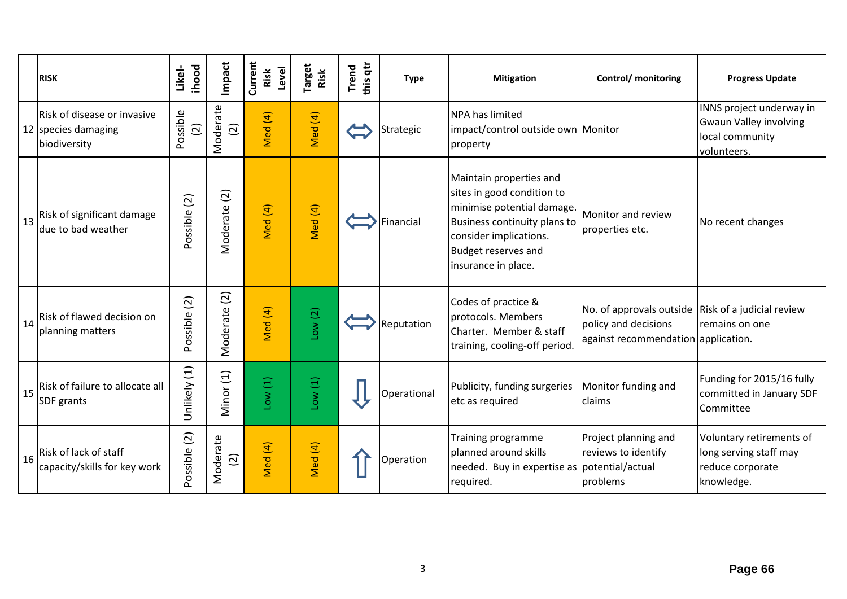|    | <b>RISK</b>                                                        | ihood<br>Likel- | Impact                      | Current<br>Level<br>Risk | <b>Target</b><br>Risk | this qtr<br><b>Trend</b> | <b>Type</b> | <b>Mitigation</b>                                                                                                                                                                                  | Control/ monitoring                                                                                               | <b>Progress Update</b>                                                                      |
|----|--------------------------------------------------------------------|-----------------|-----------------------------|--------------------------|-----------------------|--------------------------|-------------|----------------------------------------------------------------------------------------------------------------------------------------------------------------------------------------------------|-------------------------------------------------------------------------------------------------------------------|---------------------------------------------------------------------------------------------|
|    | Risk of disease or invasive<br>12 species damaging<br>biodiversity | Possible<br>(2) | Moderate<br>$\overline{2}$  | Med (4)                  | Med (4)               |                          | Strategic   | <b>NPA has limited</b><br>impact/control outside own Monitor<br>property                                                                                                                           |                                                                                                                   | INNS project underway in<br><b>Gwaun Valley involving</b><br>local community<br>volunteers. |
| 13 | Risk of significant damage<br>due to bad weather                   | Possible (2)    | Moderate (2)                | Med (4)                  | Med (4)               |                          | Financial   | Maintain properties and<br>sites in good condition to<br>minimise potential damage.<br>Business continuity plans to<br>consider implications.<br><b>Budget reserves and</b><br>insurance in place. | Monitor and review<br>properties etc.                                                                             | No recent changes                                                                           |
| 14 | Risk of flawed decision on<br>planning matters                     | Possible (2)    | $\boxed{2}$<br>Moderate     | Med (4)                  | Low(2)                |                          | Reputation  | Codes of practice &<br>protocols. Members<br>Charter. Member & staff<br>training, cooling-off period.                                                                                              | No. of approvals outside Risk of a judicial review<br>policy and decisions<br>against recommendation application. | remains on one                                                                              |
| 15 | Risk of failure to allocate all<br>SDF grants                      | Unlikely (1)    | Minor (1)                   | Low(1)                   | Low(1)                |                          | Operational | Publicity, funding surgeries<br>etc as required                                                                                                                                                    | Monitor funding and<br>claims                                                                                     | Funding for 2015/16 fully<br>committed in January SDF<br>Committee                          |
| 16 | Risk of lack of staff<br>capacity/skills for key work              | Possible (2)    | Moderate<br>$\widetilde{c}$ | Med (4)                  | Med (4)               |                          | Operation   | Training programme<br>planned around skills<br>needed. Buy in expertise as potential/actual<br>required.                                                                                           | Project planning and<br>reviews to identify<br>problems                                                           | Voluntary retirements of<br>long serving staff may<br>reduce corporate<br>knowledge.        |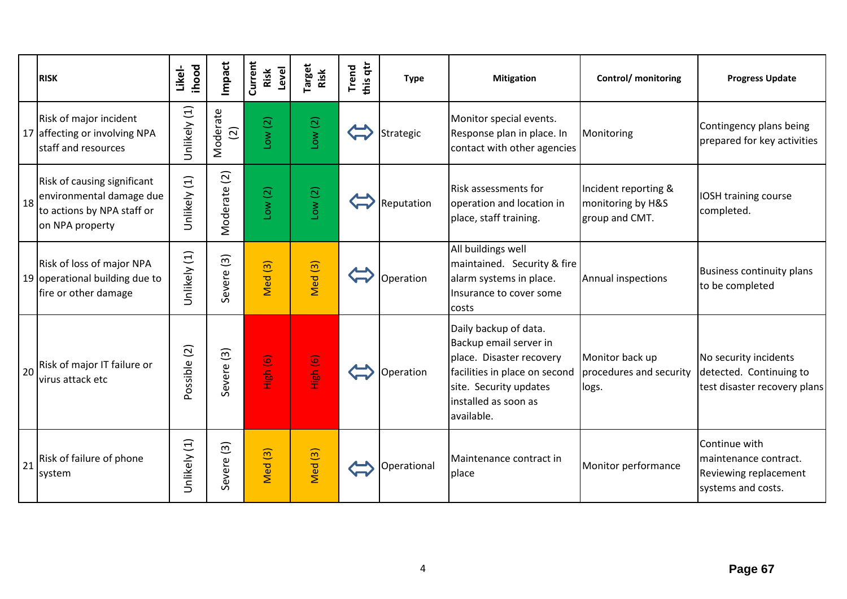|    | <b>RISK</b>                                                                                              | ihood<br>Likel- | Impact                     | Current<br>Level<br>Risk | <b>Target</b><br>Risk | this qtr<br>Trend | <b>Type</b> | <b>Mitigation</b>                                                                                                                                                            | Control/ monitoring                                         | <b>Progress Update</b>                                                                |
|----|----------------------------------------------------------------------------------------------------------|-----------------|----------------------------|--------------------------|-----------------------|-------------------|-------------|------------------------------------------------------------------------------------------------------------------------------------------------------------------------------|-------------------------------------------------------------|---------------------------------------------------------------------------------------|
|    | Risk of major incident<br>17 affecting or involving NPA<br>staff and resources                           | Unlikely (1)    | Moderate<br>$\overline{2}$ | Low(2)                   | Low(2)                |                   | Strategic   | Monitor special events.<br>Response plan in place. In<br>contact with other agencies                                                                                         | Monitoring                                                  | Contingency plans being<br>prepared for key activities                                |
| 18 | Risk of causing significant<br>environmental damage due<br>to actions by NPA staff or<br>on NPA property | Unlikely (1)    | $\boxed{2}$<br>Moderate    | Low(2)                   | Low(2)                |                   | Reputation  | <b>Risk assessments for</b><br>operation and location in<br>place, staff training.                                                                                           | Incident reporting &<br>monitoring by H&S<br>group and CMT. | IOSH training course<br>completed.                                                    |
|    | Risk of loss of major NPA<br>19 operational building due to<br>fire or other damage                      | Unlikely (1)    | Severe <sub>(3)</sub>      | $\boxed{3}$<br>Med       | Med <sub>(3)</sub>    |                   | Operation   | All buildings well<br>maintained. Security & fire<br>alarm systems in place.<br>Insurance to cover some<br>costs                                                             | Annual inspections                                          | <b>Business continuity plans</b><br>to be completed                                   |
| 20 | Risk of major IT failure or<br>virus attack etc                                                          | Possible (2)    | Severe <sub>(3)</sub>      | High (6)                 | High (6)              |                   | Operation   | Daily backup of data.<br>Backup email server in<br>place. Disaster recovery<br>facilities in place on second<br>site. Security updates<br>installed as soon as<br>available. | Monitor back up<br>procedures and security<br>logs.         | No security incidents<br>detected. Continuing to<br>test disaster recovery plans      |
| 21 | Risk of failure of phone<br>system                                                                       | Unlikely (1)    | $\overline{3}$<br>Severe   | Med <sup>(3)</sup>       | Med <sub>(3)</sub>    |                   | Operational | Maintenance contract in<br>place                                                                                                                                             | Monitor performance                                         | Continue with<br>maintenance contract.<br>Reviewing replacement<br>systems and costs. |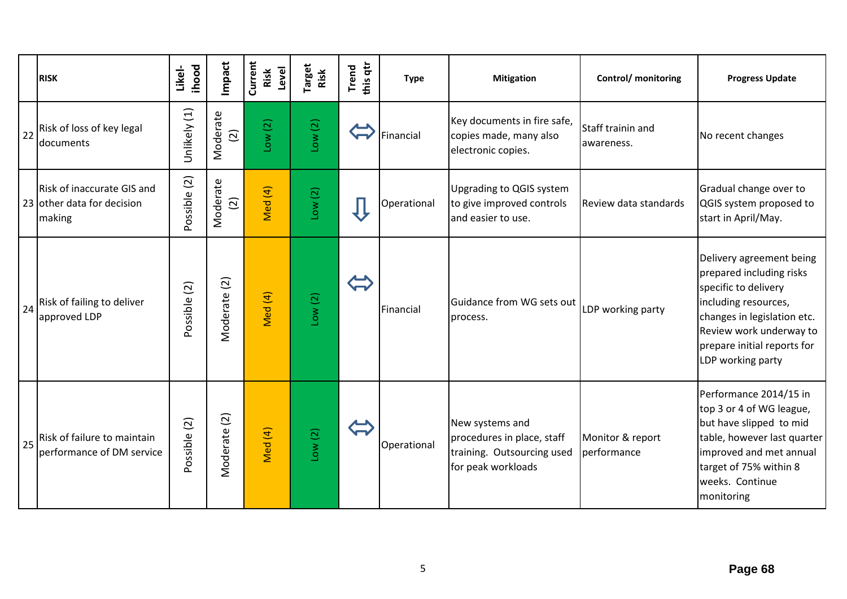|    | <b>RISK</b>                                                        | ihood<br>Likel- | Impact                           | Current<br>Level<br>Risk | <b>Target</b><br>Risk | this qtr<br><b>Trend</b> | <b>Type</b> | <b>Mitigation</b>                                                                                 | Control/ monitoring             | <b>Progress Update</b>                                                                                                                                                                                             |
|----|--------------------------------------------------------------------|-----------------|----------------------------------|--------------------------|-----------------------|--------------------------|-------------|---------------------------------------------------------------------------------------------------|---------------------------------|--------------------------------------------------------------------------------------------------------------------------------------------------------------------------------------------------------------------|
| 22 | Risk of loss of key legal<br>documents                             | Unlikely (1)    | Moderate<br>$\widehat{c}$        | Low(2)                   | Low(2)                |                          | Financial   | Key documents in fire safe,<br>copies made, many also<br>electronic copies.                       | Staff trainin and<br>awareness. | No recent changes                                                                                                                                                                                                  |
|    | Risk of inaccurate GIS and<br>23 other data for decision<br>making | Possible (2)    | Moderate<br>$\widetilde{\Omega}$ | Med (4)                  | Low(2)                |                          | Operational | Upgrading to QGIS system<br>to give improved controls<br>and easier to use.                       | Review data standards           | Gradual change over to<br>QGIS system proposed to<br>start in April/May.                                                                                                                                           |
| 24 | Risk of failing to deliver<br>approved LDP                         | Possible (2)    | Moderate (2)                     | Med (4)                  | Low(2)                |                          | Financial   | Guidance from WG sets out<br>process.                                                             | LDP working party               | Delivery agreement being<br>prepared including risks<br>specific to delivery<br>including resources,<br>changes in legislation etc.<br>Review work underway to<br>prepare initial reports for<br>LDP working party |
| 25 | Risk of failure to maintain<br>performance of DM service           | Possible (2)    | Moderate (2)                     | Med (4)                  | Low(2)                |                          | Operational | New systems and<br>procedures in place, staff<br>training. Outsourcing used<br>for peak workloads | Monitor & report<br>performance | Performance 2014/15 in<br>top 3 or 4 of WG league,<br>but have slipped to mid<br>table, however last quarter<br>improved and met annual<br>target of 75% within 8<br>weeks. Continue<br>monitoring                 |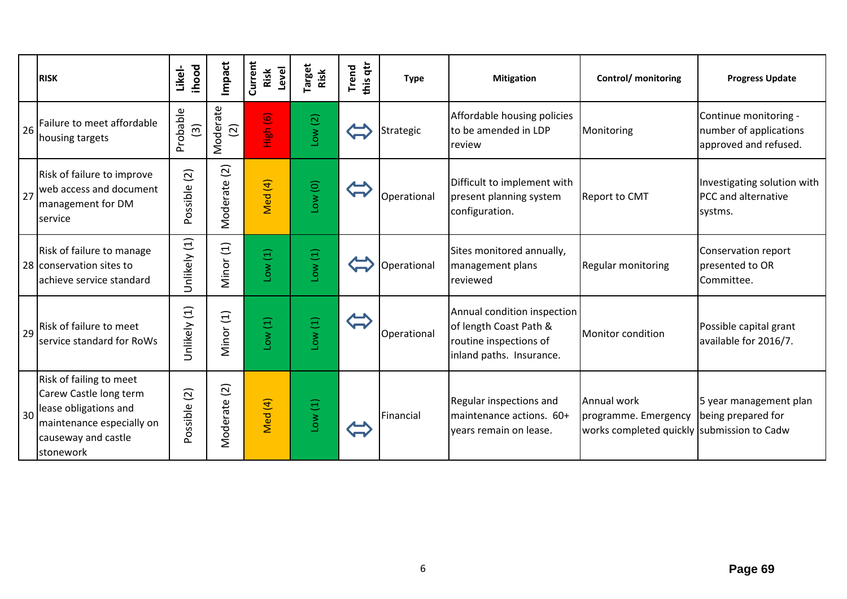|    | <b>RISK</b>                                                                                                                                 | ihood<br>Likel-                     | Impact                     | Current<br>Level<br>Risk | <b>Target</b><br>Risk | this qtr<br>Trend | <b>Type</b> | <b>Mitigation</b>                                                                                           | Control/ monitoring                                                               | <b>Progress Update</b>                                                   |
|----|---------------------------------------------------------------------------------------------------------------------------------------------|-------------------------------------|----------------------------|--------------------------|-----------------------|-------------------|-------------|-------------------------------------------------------------------------------------------------------------|-----------------------------------------------------------------------------------|--------------------------------------------------------------------------|
| 26 | Failure to meet affordable<br>housing targets                                                                                               | Probable<br>$\widehat{\mathcal{L}}$ | Moderate<br>$\overline{2}$ | High (6)                 | Low(2)                |                   | Strategic   | Affordable housing policies<br>to be amended in LDP<br>review                                               | Monitoring                                                                        | Continue monitoring -<br>number of applications<br>approved and refused. |
| 27 | Risk of failure to improve<br>web access and document<br>management for DM<br>service                                                       | $\overline{c}$<br>Possible          | $\boxed{2}$<br>Moderate    | Med (4)                  | Low(0)                |                   | Operational | Difficult to implement with<br>present planning system<br>configuration.                                    | <b>Report to CMT</b>                                                              | Investigating solution with<br>PCC and alternative<br>systms.            |
|    | Risk of failure to manage<br>28 conservation sites to<br>achieve service standard                                                           | Unlikely (1)                        | Minor (1)                  | Low(1)                   | Low(1)                |                   | Operational | Sites monitored annually,<br>management plans<br>reviewed                                                   | <b>Regular monitoring</b>                                                         | Conservation report<br>presented to OR<br>Committee.                     |
| 29 | Risk of failure to meet<br>service standard for RoWs                                                                                        | Unlikely (1)                        | Minor (1)                  | Low(1)                   | Low(1)                |                   | Operational | Annual condition inspection<br>of length Coast Path &<br>routine inspections of<br>inland paths. Insurance. | Monitor condition                                                                 | Possible capital grant<br>available for 2016/7.                          |
| 30 | Risk of failing to meet<br>Carew Castle long term<br>lease obligations and<br>maintenance especially on<br>causeway and castle<br>stonework | $\boxed{2}$<br>Possible             | $\overline{2}$<br>Moderate | Med (4)                  | Low(1)                |                   | Financial   | Regular inspections and<br>maintenance actions. 60+<br>years remain on lease.                               | Annual work<br>programme. Emergency<br>works completed quickly submission to Cadw | 5 year management plan<br>being prepared for                             |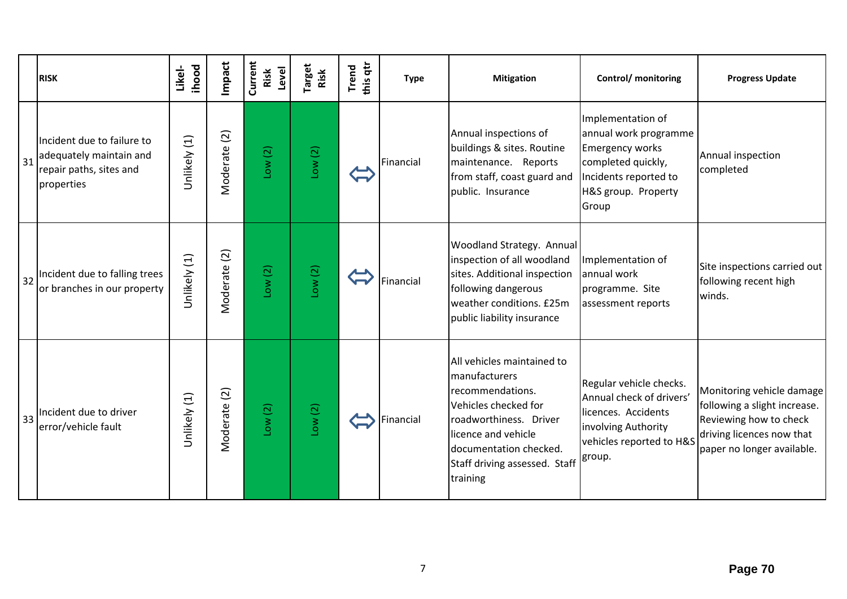|    | <b>RISK</b>                                                                                    | <b>ihood</b><br>Likel- | Impact       | Current<br>Level<br>Risk | arget<br>Risk | this qtr<br><b>Trend</b> | <b>Type</b> | <b>Mitigation</b>                                                                                                                                                                                               | Control/ monitoring                                                                                                                                 | <b>Progress Update</b>                                                                                                                         |
|----|------------------------------------------------------------------------------------------------|------------------------|--------------|--------------------------|---------------|--------------------------|-------------|-----------------------------------------------------------------------------------------------------------------------------------------------------------------------------------------------------------------|-----------------------------------------------------------------------------------------------------------------------------------------------------|------------------------------------------------------------------------------------------------------------------------------------------------|
| 31 | Incident due to failure to<br>adequately maintain and<br>repair paths, sites and<br>properties | Unlikely (1)           | Moderate (2) | Low(2)                   | Low(2)        |                          | Financial   | Annual inspections of<br>buildings & sites. Routine<br>maintenance. Reports<br>from staff, coast guard and<br>public. Insurance                                                                                 | Implementation of<br>annual work programme<br><b>Emergency works</b><br>completed quickly,<br>Incidents reported to<br>H&S group. Property<br>Group | Annual inspection<br>completed                                                                                                                 |
| 32 | Incident due to falling trees<br>or branches in our property                                   | Unlikely (1)           | Moderate (2) | Low(2)                   | Low(2)        |                          | Financial   | Woodland Strategy. Annual<br>inspection of all woodland<br>sites. Additional inspection<br>following dangerous<br>weather conditions. £25m<br>public liability insurance                                        | Implementation of<br>annual work<br>programme. Site<br>assessment reports                                                                           | Site inspections carried out<br>following recent high<br>winds.                                                                                |
| 33 | Incident due to driver<br>error/vehicle fault                                                  | Unlikely (1)           | Moderate (2) | Low(2)                   | Low(2)        |                          | Financial   | All vehicles maintained to<br>manufacturers<br>recommendations.<br>Vehicles checked for<br>roadworthiness. Driver<br>licence and vehicle<br>documentation checked.<br>Staff driving assessed. Staff<br>training | Regular vehicle checks.<br>Annual check of drivers'<br>licences. Accidents<br>involving Authority<br>vehicles reported to H&S<br>group.             | Monitoring vehicle damage<br>following a slight increase.<br>Reviewing how to check<br>driving licences now that<br>paper no longer available. |